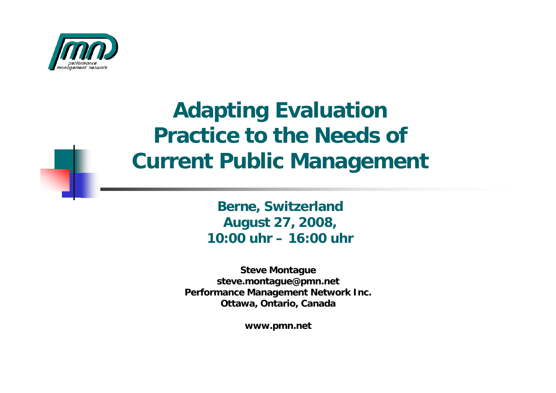

#### **Adapting Evaluation Practice to the Needs of Current Public Management**

**Berne, Switzerland August 27, 2008, 10:00 uhr – 16:00 uhr**

**Steve Montague steve.montague@pmn.net Performance Management Network Inc. Ottawa, Ontario, Canada**

**www.pmn.net**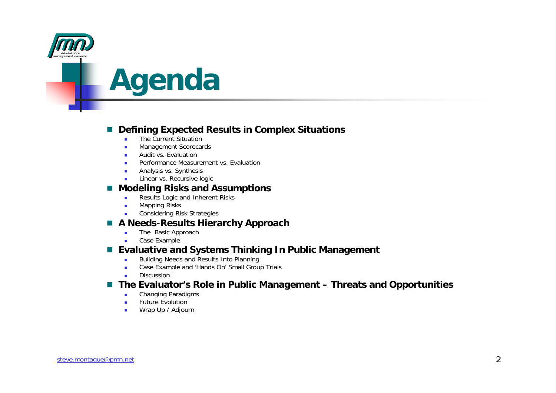

### **Agenda**

#### r. **Defining Expected Results in Complex Situations**

- The Current Situation
- ٠ Management Scorecards
- **Audit vs. Evaluation**
- ٠ Performance Measurement vs. Evaluation
- Analysis vs. Synthesis
- **Linear vs. Recursive logic Linear vs. Recursive logic**

#### **Modeling Risks and Assumptions**

- $\mathbf{r}$ Results Logic and Inherent Risks
- ٠ Mapping Risks
- ٠ Considering Risk Strategies

#### n. **A Needs-Results Hierarchy Approach**

- $\blacksquare$ The Basic Approach
- г Case Example

#### **Evaluative and Systems Thinking In Public Management**

- × Building Needs and Results Into Planning
- ٠ Case Example and 'Hands On' Small Group Trials
- ٠ Discussion

#### ■ The Evaluator's Role in Public Management – Threats and Opportunities

- $\mathbf{r}$ Changing Paradigms
- ٠ Future Evolution
- ٠ Wrap Up / Adjourn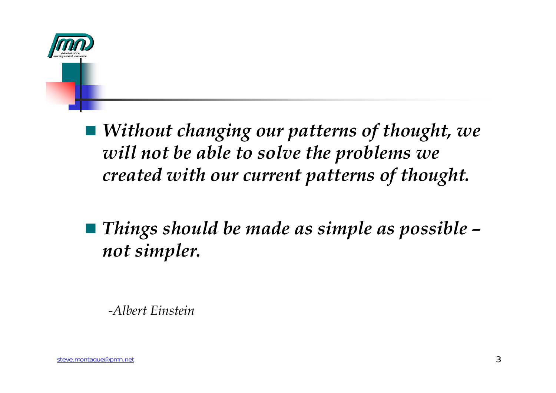

 *Without changing our patterns of thought, we will not be able to solve the problems we created with our current patterns of thought.*

 *Things should be made as simple as possible – not simpler.*

*-Albert Einstein*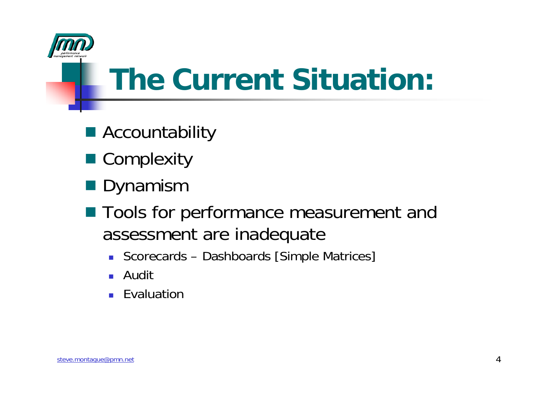

## **The Current Situation:**

- Accountability
- Complexity
- Dynamism
- Tools for performance measurement and assessment are inadequate
	- Scorecards Dashboards [Simple Matrices]
	- H Audit
	- **Exaluation**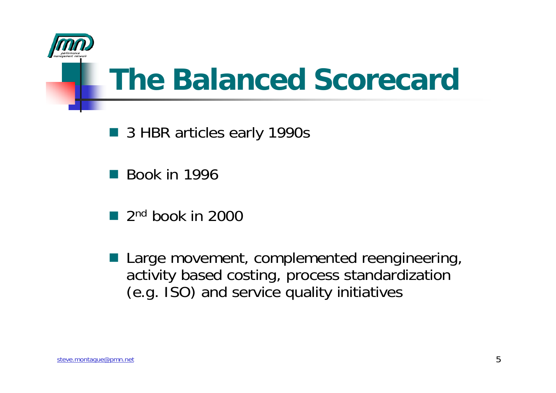

### **The Balanced Scorecard**

- 3 HBR articles early 1990s
- Book in 1996
- $\blacksquare$  2<sup>nd</sup> book in 2000
- Large movement, complemented reengineering, activity based costing, process standardization (e.g. ISO) and service quality initiatives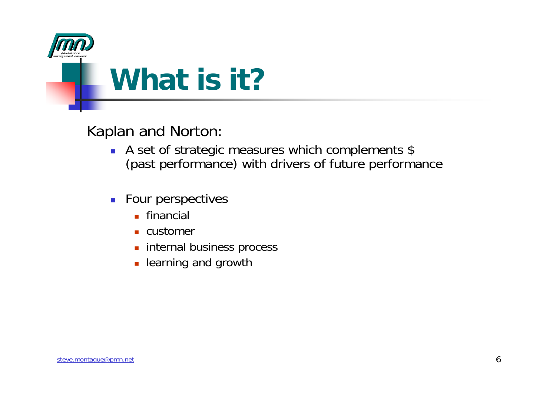

Kaplan and Norton:

- A set of strategic measures which complements \$ (past performance) with drivers of future performance
- **Four perspectives** 
	- **E** financial
	- customer
	- internal business process
	- learning and growth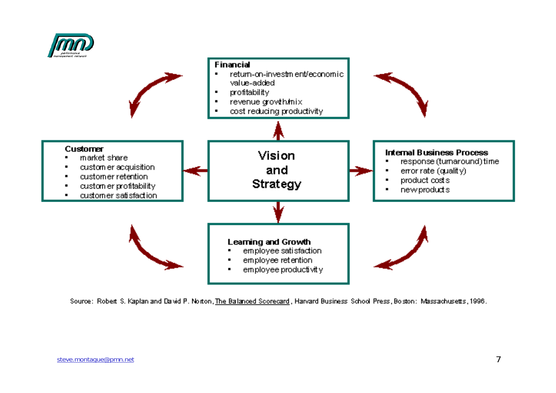



Source: Robert S. Kaplan and David P. Norton, The Balanced Scorecard , Harvard Business School Press, Boston: Massachusetts, 1996.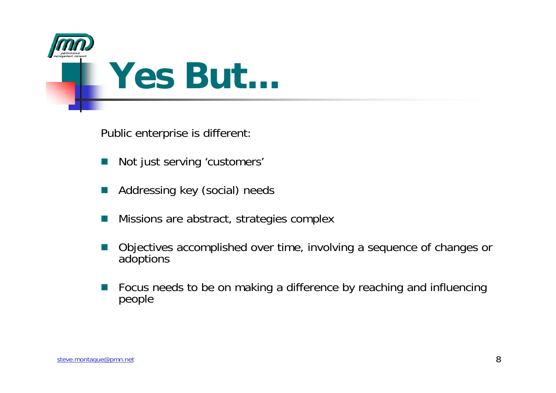



Public enterprise is different:

- F. Not just serving 'customers'
- L. Addressing key (social) needs
- o. Missions are abstract, strategies complex
- o. Objectives accomplished over time, involving a sequence of changes or adoptions
- o. Focus needs to be on making a difference by reaching and influencing people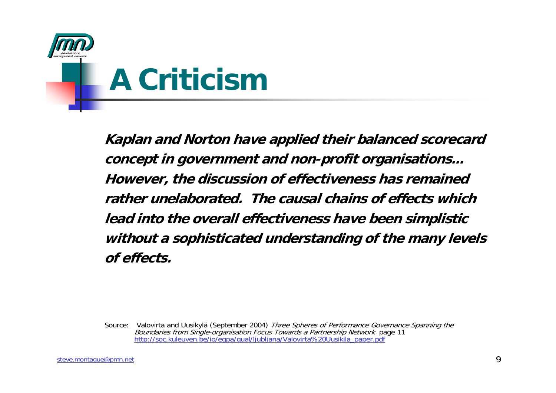

**Kaplan and Norton have applied their balanced scorecard concept in government and non-profit organisations... However, the discussion of effectiveness has remained rather unelaborated. The causal chains of effects which lead into the overall effectiveness have been simplistic without a sophisticated understanding of the many levels of effects.**

Source: Valovirta and Uusikylä (September 2004) Three Spheres of Performance Governance Spanning the<br>Boundaries from Single-organisation Focus Towards a Partnership Network page 11 http://soc.kuleuven.be/io/eqpa/qual/ljubljana/Valovirta%20Uusikila\_paper.pdf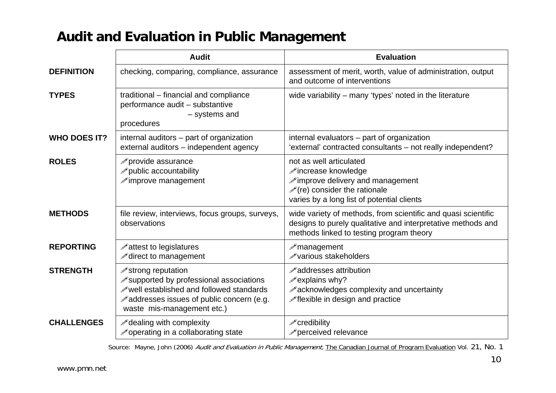#### **Audit and Evaluation in Public Management**

|                     | <b>Audit</b>                                                                                                                                                                                  | <b>Evaluation</b>                                                                                                                                                                  |
|---------------------|-----------------------------------------------------------------------------------------------------------------------------------------------------------------------------------------------|------------------------------------------------------------------------------------------------------------------------------------------------------------------------------------|
| <b>DEFINITION</b>   | checking, comparing, compliance, assurance                                                                                                                                                    | assessment of merit, worth, value of administration, output<br>and outcome of interventions                                                                                        |
| <b>TYPES</b>        | traditional - financial and compliance<br>performance audit - substantive<br>- systems and<br>procedures                                                                                      | wide variability – many 'types' noted in the literature                                                                                                                            |
| <b>WHO DOES IT?</b> | internal auditors – part of organization<br>external auditors - independent agency                                                                                                            | internal evaluators – part of organization<br>'external' contracted consultants - not really independent?                                                                          |
| <b>ROLES</b>        | provide assurance<br>public accountability<br>$\mathscr{P}$ improve management                                                                                                                | not as well articulated<br><b>∕increase knowledge</b><br>improve delivery and management<br>$\mathcal{O}(re)$ consider the rationale<br>varies by a long list of potential clients |
| <b>METHODS</b>      | file review, interviews, focus groups, surveys,<br>observations                                                                                                                               | wide variety of methods, from scientific and quasi scientific<br>designs to purely qualitative and interpretative methods and<br>methods linked to testing program theory          |
| <b>REPORTING</b>    | A attest to legislatures<br>iect to management                                                                                                                                                | $\mathscr{P}$ management<br>ie various stakeholders                                                                                                                                |
| <b>STRENGTH</b>     | iestrong reputation<br>ightless supported by professional associations<br>well established and followed standards<br>A addresses issues of public concern (e.g.<br>waste mis-management etc.) | <b>∕addresses attribution</b><br>$\mathscr{P}$ explains why?<br>acknowledges complexity and uncertainty<br>iexible in design and practice                                          |
| <b>CHALLENGES</b>   | A dealing with complexity<br>in a collaborating state                                                                                                                                         | icredibility<br>perceived relevance                                                                                                                                                |

Source: Mayne, John (2006) Audit and Evaluation in Public Management, The Canadian Journal of Program Evaluation Vol. 21, No. 1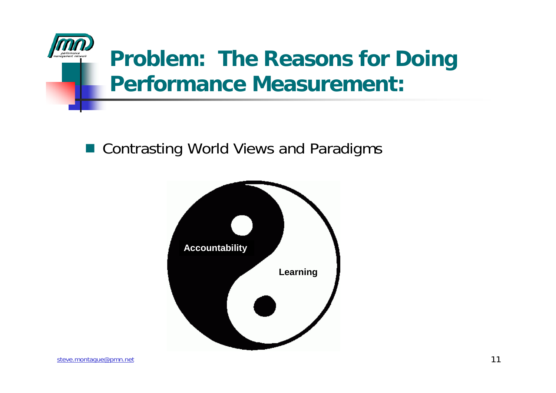

#### **Problem: The Reasons for Doing Performance Measurement:**

■ Contrasting World Views and Paradigms

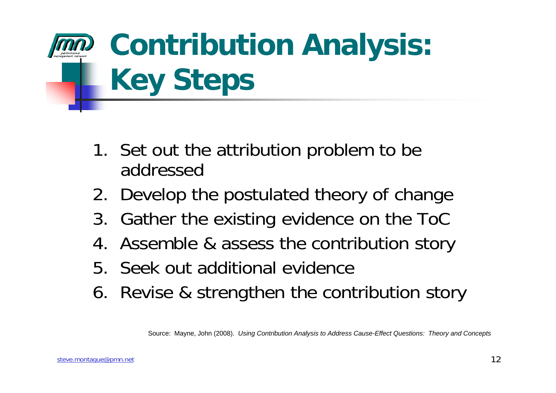# **Contribution Analysis: Key Steps**

- 1. Set out the attribution problem to be addressed
- 2. Develop the postulated theory of change
- 3. Gather the existing evidence on the ToC
- 4. Assemble & assess the contribution story
- 5. Seek out additional evidence
- 6. Revise & strengthen the contribution story

Source: Mayne, John (2008). *Using Contribution Analysis to Address Cause-Effect Questions: Theory and Concepts*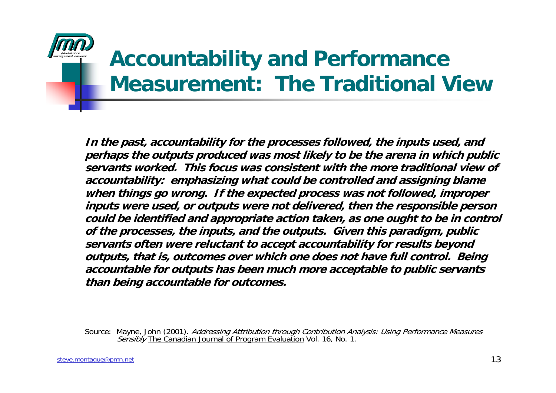

#### **Accountability and Performance Measurement: The Traditional View**

**In the past, accountability for the processes followed, the inputs used, and perhaps the outputs produced was most likely to be the arena in which public servants worked. This focus was consistent with the more traditional view of accountability: emphasizing what could be controlled and assigning blame when things go wrong. If the expected process was not followed, improper inputs were used, or outputs were not delivered, then the responsible person could be identified and appropriate action taken, as one ought to be in control of the processes, the inputs, and the outputs. Given this paradigm, public servants often were reluctant to accept accountability for results beyond outputs, that is, outcomes over which one does not have full control. Being accountable for outputs has been much more acceptable to public servants than being accountable for outcomes.**

Source: Mayne, John (2001). *Addressing Attribution through Contribution Analysis: Using Performance Measures* Sensibly The Canadian Journal of Program Evaluation Vol. 16, No. 1.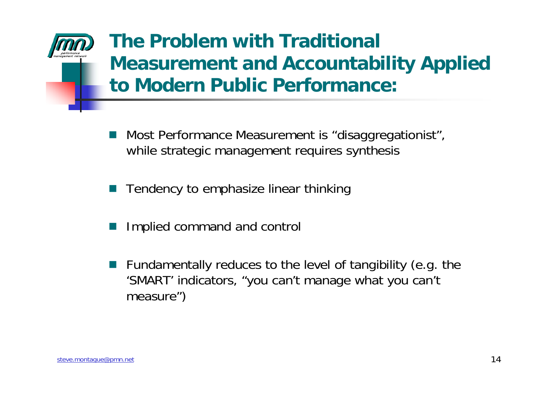#### **The Problem with Traditional Measurement and Accountability Applied to Modern Public Performance:**

- $\Box$  Most Performance Measurement is "disaggregationist", while strategic management requires synthesis
- F Tendency to emphasize linear thinking
- $\Box$ Implied command and control
- $\Box$  Fundamentally reduces to the level of tangibility (e.g. the 'SMART' indicators, "you can't manage what you can't measure")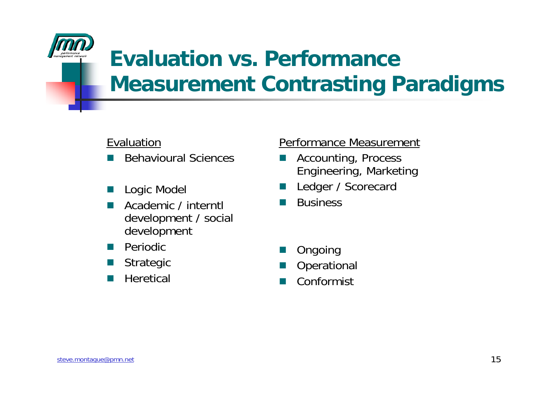

#### **Evaluation vs. Performance Measurement Contrasting Paradigms**

#### Evaluation

- $\mathbb{R}^2$ Behavioural Sciences
- o. Logic Model
- L. Academic / interntl development / social development
- $\mathbb{R}^2$ Periodic
- o. Strategic
- o. **Heretical**

#### Performance Measurement

- $\mathbb{R}^2$  Accounting, Process Engineering, Marketing
- o. Ledger / Scorecard
- o. **Business**
- o. Ongoing
- L. **Operational**
- $\mathbb{R}^2$ Conformist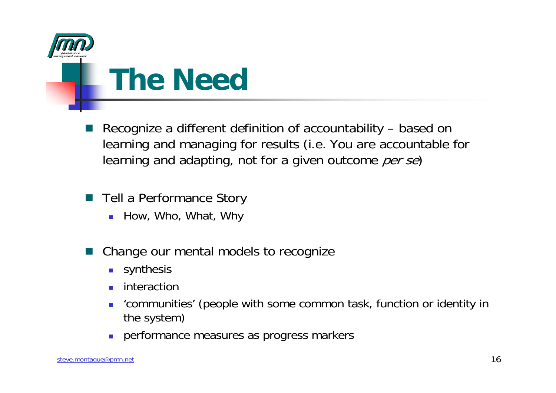

### **The Need**

- $\Box$  Recognize a different definition of accountability – based on learning and managing for results (i.e. You are accountable for learning and adapting, not for a given outcome *per se*)
- $\Box$  Tell a Performance Story
	- How, Who, What, Why
- $\Box$  Change our mental models to recognize
	- $\sim$ synthesis
	- interaction
	- 'communities' (people with some common task, function or identity in the system)
	- performance measures as progress markers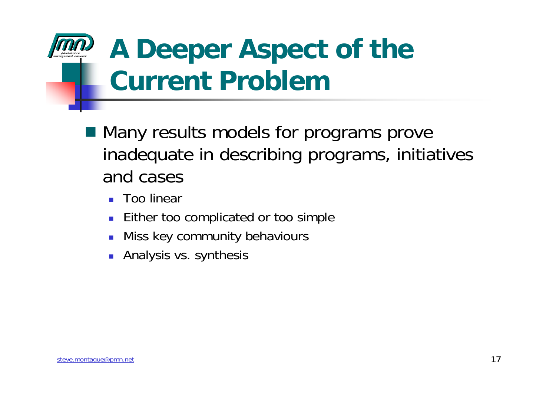### **A Deeper Aspect of the Current Problem**

- Many results models for programs prove inadequate in describing programs, initiatives and cases
	- ▉ Too linear
	- П Either too complicated or too simple
	- Miss key community behaviours
	- ▉ Analysis vs. synthesis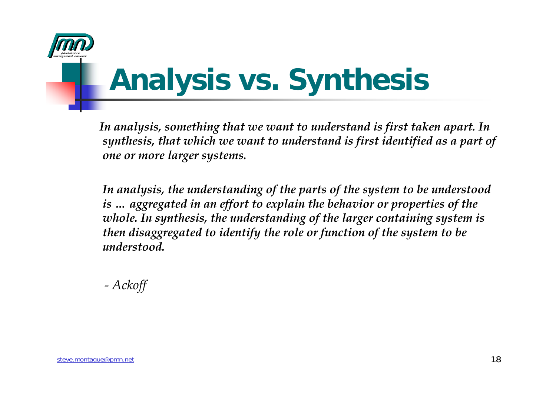

# **Analysis vs. Synthesis**

*In analysis, something that we want to understand is first taken apart. In synthesis, that which we want to understand is first identified as a part of one or more larger systems.* 

*In analysis, the understanding of the parts of the system to be understood is … aggregated in an effort to explain the behavior or properties of the whole. In synthesis, the understanding of the larger containing system is then disaggregated to identify the role or function of the system to be understood.*

*- Ackoff*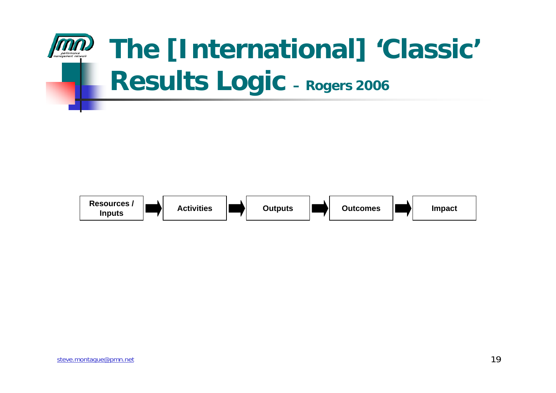

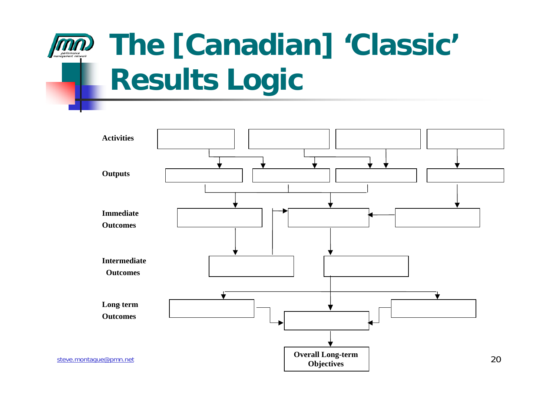### **The [Canadian] 'Classic' Results Logic**

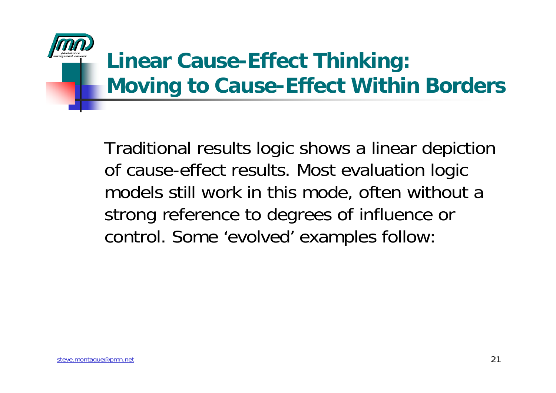

#### **Linear Cause-Effect Thinking: Moving to Cause-Effect Within Borders**

Traditional results logic shows a linear depiction of cause-effect results. Most evaluation logic models still work in this mode, often without a strong reference to degrees of influence or control. Some 'evolved' examples follow: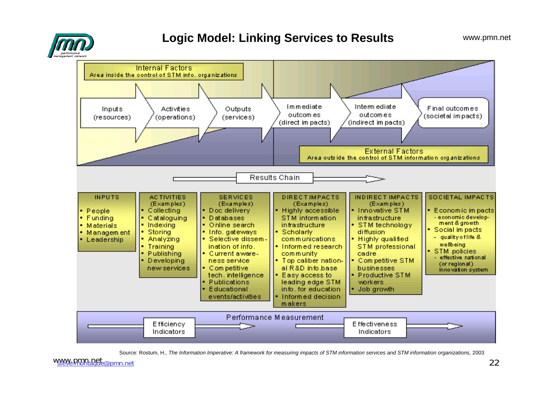

#### **Logic Model: Linking Services to Results**



Source: Rostum, H., *The Information Imperative: A framework for measuring impacts of STM information services and STM information organizations,* 2003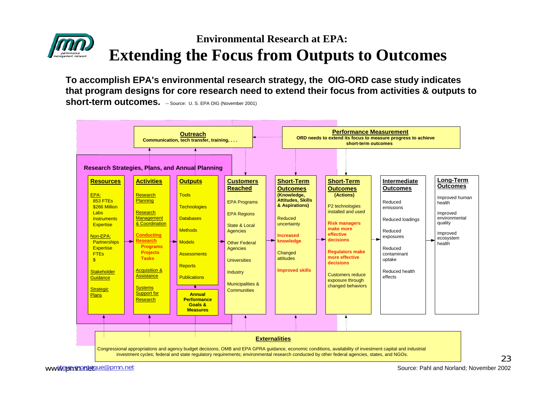#### **Environmental Research at EPA:Extending the Focus from Outputs to Outcomes**

**To accomplish EPA's environmental research strategy, the OIG-ORD case study indicates that program designs for core research need to extend their focus from activities & outputs to short-term outcomes.** -- Source: U. S. EPA OIG (November 2001)



23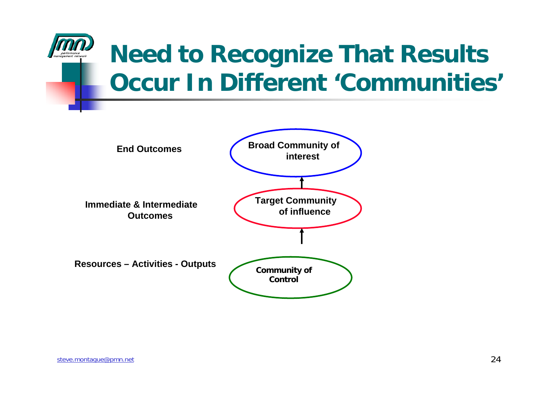

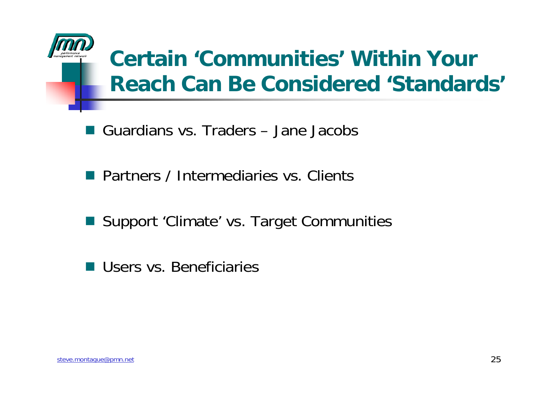

#### **Certain 'Communities' Within Your Reach Can Be Considered 'Standards'**

- Guardians vs. Traders Jane Jacobs
- **Partners / Intermediaries vs. Clients**
- Support 'Climate' vs. Target Communities
- Users vs. Beneficiaries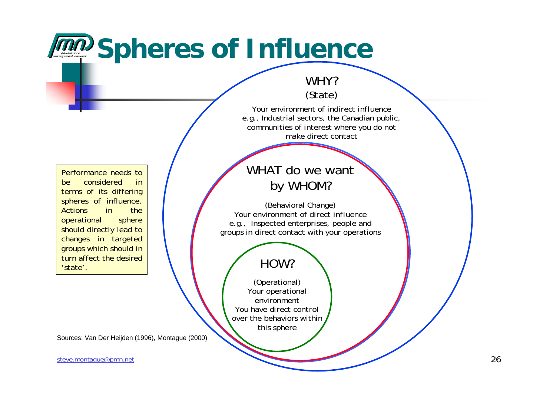### **MMP** Spheres of Influence

#### WHY?(State)

Your environment of *indirect influence*e.g., Industrial sectors, the Canadian public, communities of interest where you do not make direct contact

Performance needs to be considered in terms of its differing spheres of influence. Actions in the operational sphere should directly lead to changes in targeted groups which should in turn affect the desired 'state'.

#### WHAT do we want by WHOM?

(Behavioral Change) Your environment of *direct influence*e.g., Inspected enterprises, people and groups in direct contact with your operations

#### HOW?

(Operational) Your operational environmentYou have *direct control*over the behaviors within this sphere

Sources: Van Der Heijden (1996), Montague (2000)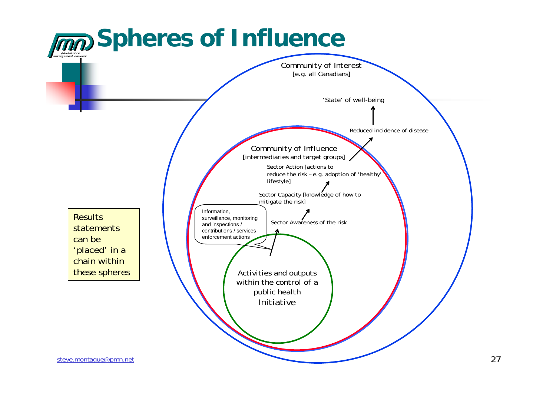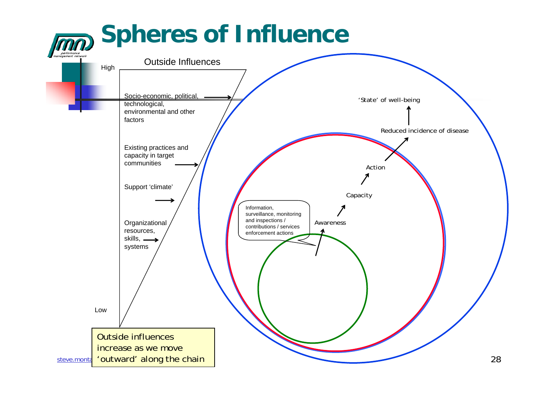# **Spheres of Influence**

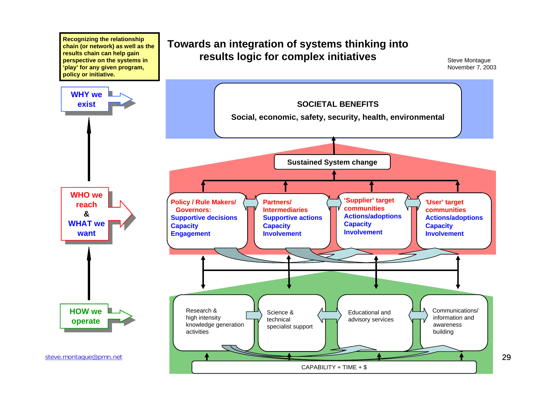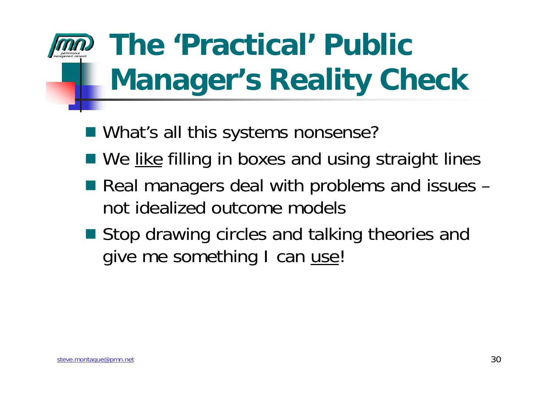# **The 'Practical' Public Manager's Reality Check**

- What's all this systems nonsense?
- We like filling in boxes and using straight lines
- Real managers deal with problems and issues not idealized outcome models
- Stop drawing circles and talking theories and give me something I can use!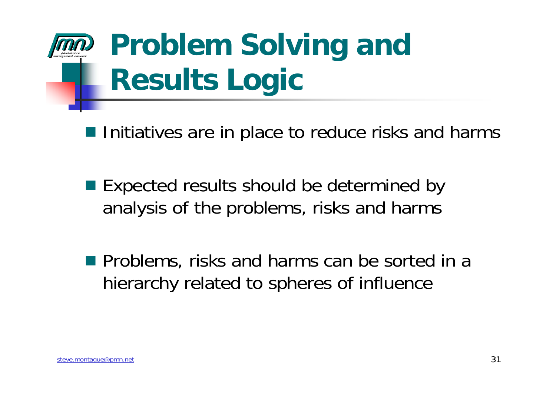# **Problem Solving and Results Logic**

 $\blacksquare$  Initiatives are in place to reduce risks and harms

■ Expected results should be determined by analysis of the problems, risks and harms

**Problems, risks and harms can be sorted in a** hierarchy related to spheres of influence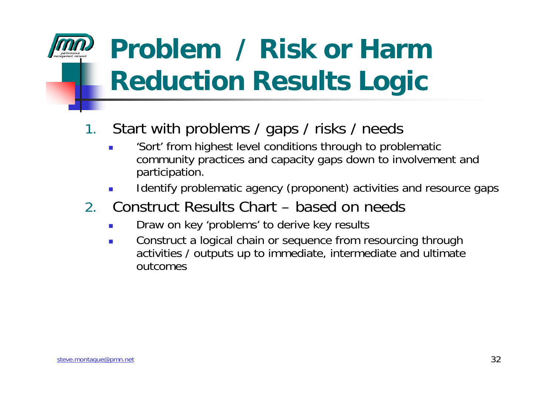### **Problem / Risk or Harm Reduction Results Logic**

#### 1.Start with problems / gaps / risks / needs

- 'Sort' from highest level conditions through to problematic community practices and capacity gaps down to involvement and participation.
- Identify problematic agency (proponent) activities and resource gaps
- 2. Construct Results Chart based on needs
	- Draw on key 'problems' to derive key results
	- Construct a logical chain or sequence from resourcing through activities / outputs up to immediate, intermediate and ultimate outcomes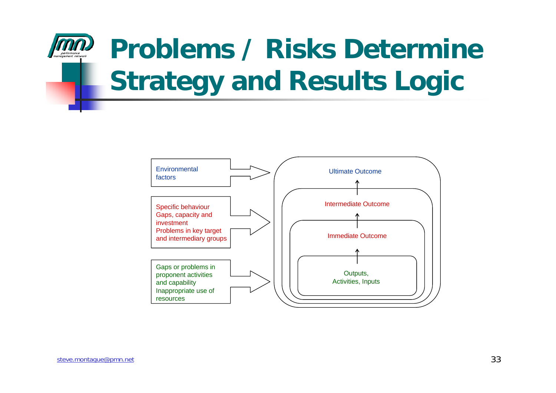

### **Problems / Risks Determine Strategy and Results Logic**

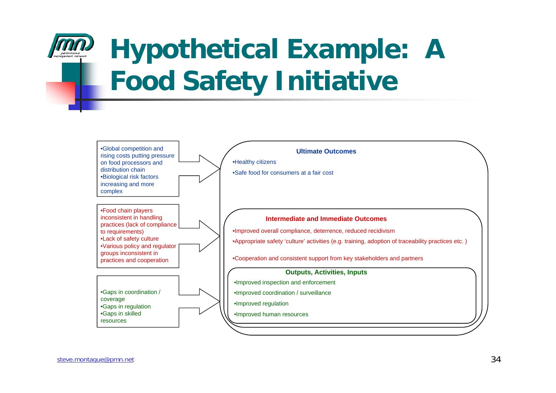## **Hypothetical Example: A Food Safety Initiative**

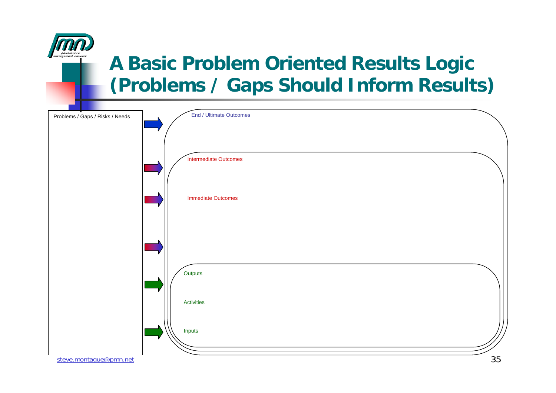

#### **A Basic Problem Oriented Results Logic (Problems / Gaps Should Inform Results)**

| Problems / Gaps / Risks / Needs | End / Ultimate Outcomes   |    |
|---------------------------------|---------------------------|----|
|                                 |                           |    |
|                                 |                           |    |
|                                 |                           |    |
|                                 |                           |    |
|                                 | Intermediate Outcomes     |    |
|                                 |                           |    |
|                                 |                           |    |
|                                 |                           |    |
|                                 | <b>Immediate Outcomes</b> |    |
|                                 |                           |    |
|                                 |                           |    |
|                                 |                           |    |
|                                 |                           |    |
|                                 |                           |    |
|                                 |                           |    |
|                                 |                           |    |
|                                 |                           |    |
|                                 | Outputs                   |    |
|                                 |                           |    |
|                                 |                           |    |
|                                 | Activities                |    |
|                                 |                           |    |
|                                 |                           |    |
|                                 | Inputs                    |    |
|                                 |                           |    |
|                                 |                           |    |
| steve.montague@pmn.net          |                           | 35 |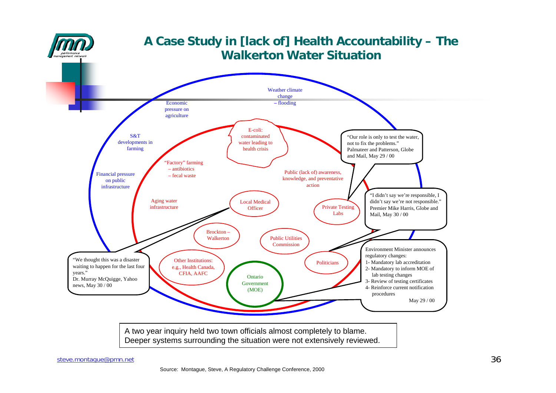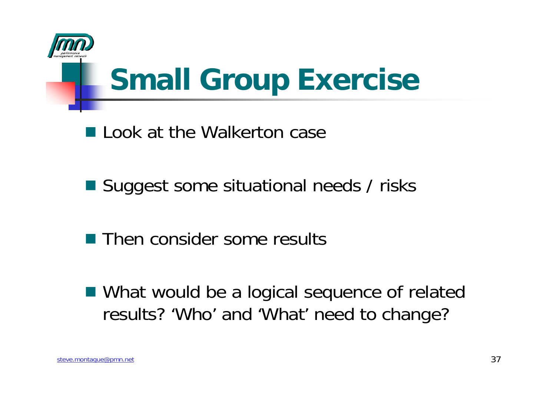

# **Small Group Exercise**

**Look at the Walkerton case** 

■ Suggest some situational needs / risks

■ Then consider some results

■ What would be a logical sequence of related results? 'Who' and 'What' need to change?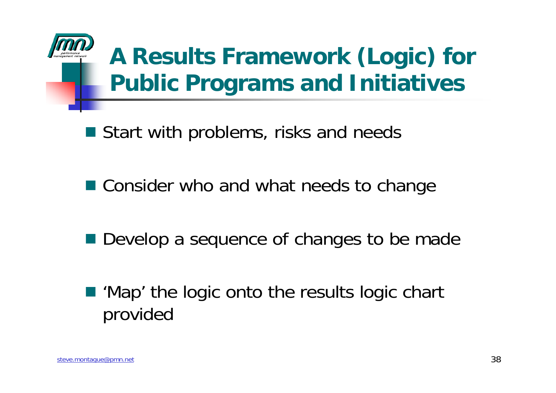### **A Results Framework (Logic) for Public Programs and Initiatives**

■ Start with problems, risks and needs

■ Consider who and what needs to change

■ Develop a sequence of changes to be made

■ 'Map' the logic onto the results logic chart provided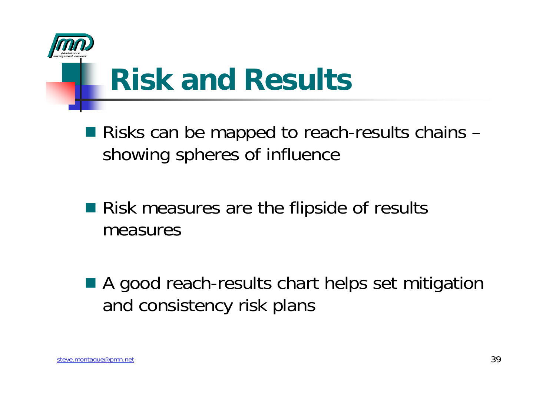

### **Risk and Results**

- Risks can be mapped to reach-results chains showing spheres of influence
- Risk measures are the flipside of results measures
- A good reach-results chart helps set mitigation and consistency risk plans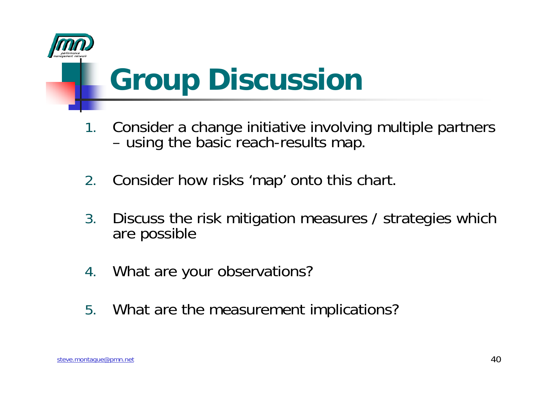

### **Group Discussion**

- 1. Consider a change initiative involving multiple partners using the basic reach-results map.
- 2.Consider how risks 'map' onto this chart.
- 3. Discuss the risk mitigation measures / strategies which are possible
- 4.What are your observations?
- 5.What are the measurement implications?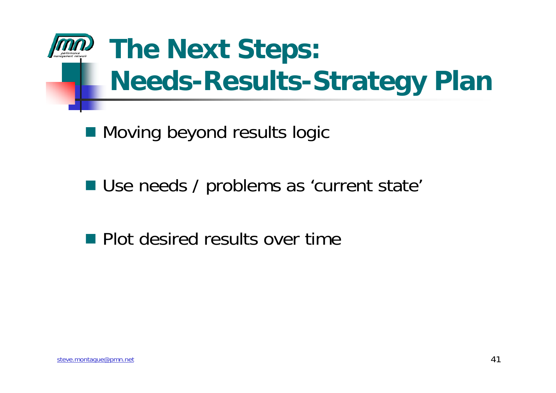

■ Moving beyond results logic

Use needs / problems as 'current state'

#### **Plot desired results over time**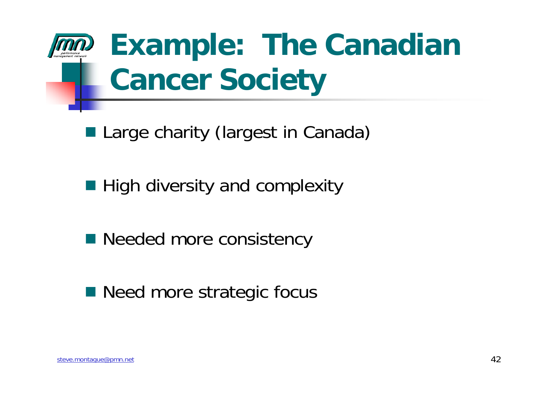# **Example: The Canadian Cancer Society**

- **Large charity (largest in Canada)**
- **High diversity and complexity**
- Needed more consistency
- Need more strategic focus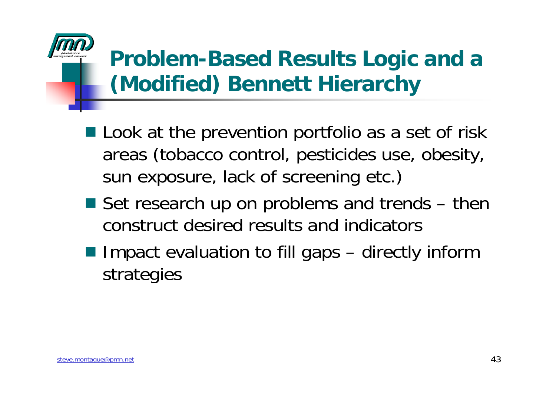#### **Problem-Based Results Logic and a (Modified) Bennett Hierarchy**

- **Look at the prevention portfolio as a set of risk** areas (tobacco control, pesticides use, obesity, sun exposure, lack of screening etc.)
- Set research up on problems and trends then construct desired results and indicators
- Impact evaluation to fill gaps directly inform strategies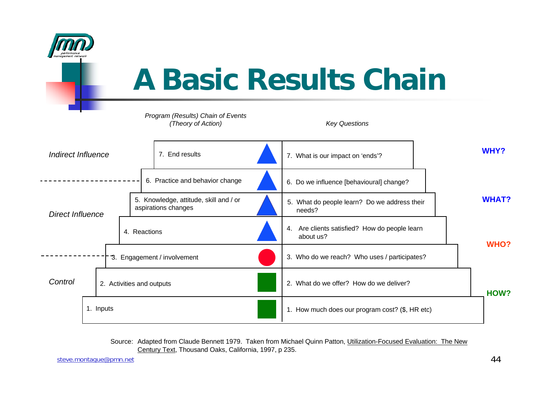

### **A Basic Results Chain**

#### *Program (Results) Chain of Events (Theory of Action) Key Questions*



| Indirect Influence      |           |                           | 7. End results                  |                                                               | 7. What is our impact on 'ends'?         | <b>WHY?</b>                                                   |              |
|-------------------------|-----------|---------------------------|---------------------------------|---------------------------------------------------------------|------------------------------------------|---------------------------------------------------------------|--------------|
| <b>Direct Influence</b> |           |                           | 6. Practice and behavior change |                                                               | 6. Do we influence [behavioural] change? |                                                               |              |
|                         |           |                           |                                 | 5. Knowledge, attitude, skill and / or<br>aspirations changes |                                          | 5. What do people learn? Do we address their<br>needs?        | <b>WHAT?</b> |
|                         |           |                           |                                 | 4. Reactions                                                  |                                          | Are clients satisfied? How do people learn<br>4.<br>about us? | <b>WHO?</b>  |
|                         |           |                           |                                 | 3. Engagement / involvement                                   |                                          | 3. Who do we reach? Who uses / participates?                  |              |
| Control                 |           | 2. Activities and outputs |                                 |                                                               | 2. What do we offer? How do we deliver?  |                                                               |              |
|                         | 1. Inputs |                           |                                 |                                                               |                                          | 1. How much does our program cost? (\$, HR etc)               |              |

Source: Adapted from Claude Bennett 1979. Taken from Michael Quinn Patton, Utilization-Focused Evaluation: The New Century Text, Thousand Oaks, California, 1997, p 235.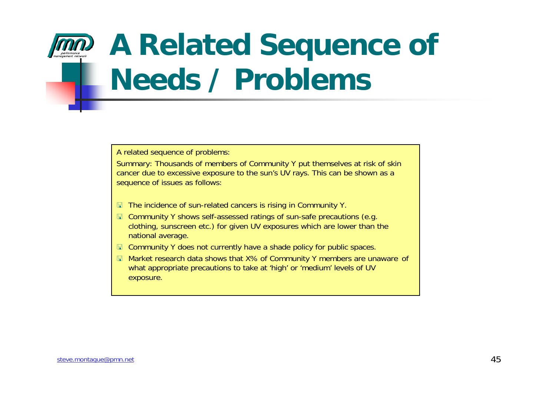## **A Related Sequence of Needs / Problems**

A related sequence of problems:

Summary: Thousands of members of Community Y put themselves at risk of skin cancer due to excessive exposure to the sun's UV rays. This can be shown as a sequence of issues as follows:

- The incidence of sun-related cancers is rising in Community Y.
- Community Y shows self-assessed ratings of sun-safe precautions (e.g. clothing, sunscreen etc.) for given UV exposures which are lower than the national average.
- Community Y does not currently have a shade policy for public spaces.
- Market research data shows that X% of Community Y members are unaware of what appropriate precautions to take at 'high' or 'medium' levels of UV exposure.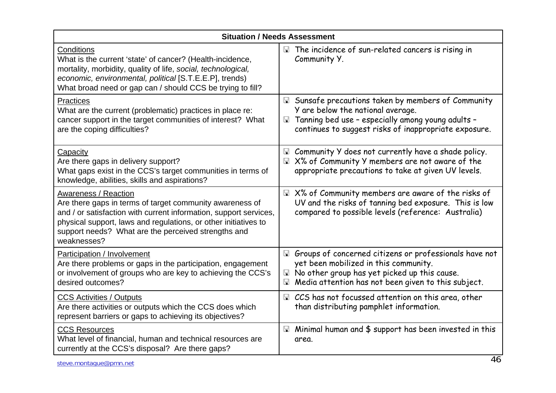| <b>Situation / Needs Assessment</b>                                                                                                                                                                                                                                                            |                                                                                                                                                                                                                        |  |  |  |  |  |
|------------------------------------------------------------------------------------------------------------------------------------------------------------------------------------------------------------------------------------------------------------------------------------------------|------------------------------------------------------------------------------------------------------------------------------------------------------------------------------------------------------------------------|--|--|--|--|--|
| Conditions<br>What is the current 'state' of cancer? (Health-incidence,<br>mortality, morbidity, quality of life, social, technological,<br>economic, environmental, political [S.T.E.E.P], trends)<br>What broad need or gap can / should CCS be trying to fill?                              | $\Box$ The incidence of sun-related cancers is rising in<br>Community Y.                                                                                                                                               |  |  |  |  |  |
| <b>Practices</b><br>What are the current (problematic) practices in place re:<br>cancer support in the target communities of interest? What<br>are the coping difficulties?                                                                                                                    | □ Sunsafe precautions taken by members of Community<br>Y are below the national average.<br>Tanning bed use - especially among young adults -<br>$\mathbb{R}$<br>continues to suggest risks of inappropriate exposure. |  |  |  |  |  |
| Capacity<br>Are there gaps in delivery support?<br>What gaps exist in the CCS's target communities in terms of<br>knowledge, abilities, skills and aspirations?                                                                                                                                | I Community Y does not currently have a shade policy.<br>□ X% of Community Y members are not aware of the<br>appropriate precautions to take at given UV levels.                                                       |  |  |  |  |  |
| Awareness / Reaction<br>Are there gaps in terms of target community awareness of<br>and / or satisfaction with current information, support services,<br>physical support, laws and regulations, or other initiatives to<br>support needs? What are the perceived strengths and<br>weaknesses? | $\boxplus$ X% of Community members are aware of the risks of<br>UV and the risks of tanning bed exposure. This is low<br>compared to possible levels (reference: Australia)                                            |  |  |  |  |  |
| Participation / Involvement<br>Are there problems or gaps in the participation, engagement<br>or involvement of groups who are key to achieving the CCS's<br>desired outcomes?                                                                                                                 | Groups of concerned citizens or professionals have not<br>yet been mobilized in this community.<br>No other group has yet picked up this cause.<br>Media attention has not been given to this subject.<br>$\mathbb{F}$ |  |  |  |  |  |
| <b>CCS Activities / Outputs</b><br>Are there activities or outputs which the CCS does which<br>represent barriers or gaps to achieving its objectives?                                                                                                                                         | ■ CCS has not focussed attention on this area, other<br>than distributing pamphlet information.                                                                                                                        |  |  |  |  |  |
| <b>CCS Resources</b><br>What level of financial, human and technical resources are<br>currently at the CCS's disposal? Are there gaps?                                                                                                                                                         | $\boxplus$ Minimal human and \$ support has been invested in this<br>area.                                                                                                                                             |  |  |  |  |  |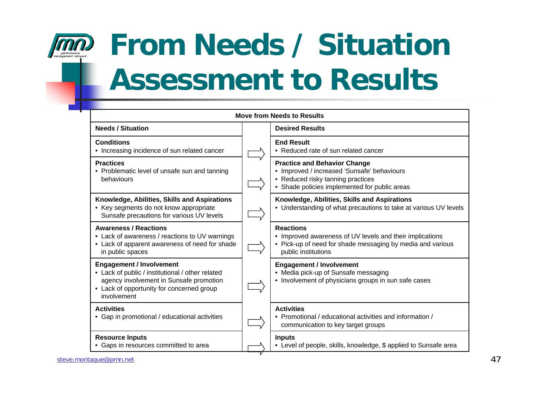

## **From Needs / Situation Assessment to Results**

| <b>Needs / Situation</b>                                                                                                                                                                   | <b>Desired Results</b>                                                                                                                                                   |  |  |
|--------------------------------------------------------------------------------------------------------------------------------------------------------------------------------------------|--------------------------------------------------------------------------------------------------------------------------------------------------------------------------|--|--|
| <b>Conditions</b><br>• Increasing incidence of sun related cancer                                                                                                                          | <b>End Result</b><br>• Reduced rate of sun related cancer                                                                                                                |  |  |
| <b>Practices</b><br>• Problematic level of unsafe sun and tanning<br>behaviours                                                                                                            | <b>Practice and Behavior Change</b><br>• Improved / increased 'Sunsafe' behaviours<br>• Reduced risky tanning practices<br>• Shade policies implemented for public areas |  |  |
| Knowledge, Abilities, Skills and Aspirations<br>• Key segments do not know appropriate<br>Sunsafe precautions for various UV levels                                                        | Knowledge, Abilities, Skills and Aspirations<br>• Understanding of what precautions to take at various UV levels                                                         |  |  |
| <b>Awareness / Reactions</b><br>• Lack of awareness / reactions to UV warnings<br>• Lack of apparent awareness of need for shade<br>in public spaces                                       | <b>Reactions</b><br>• Improved awareness of UV levels and their implications<br>• Pick-up of need for shade messaging by media and various<br>public institutions        |  |  |
| <b>Engagement / Involvement</b><br>• Lack of public / institutional / other related<br>agency involvement in Sunsafe promotion<br>• Lack of opportunity for concerned group<br>involvement | <b>Engagement / Involvement</b><br>• Media pick-up of Sunsafe messaging<br>• Involvement of physicians groups in sun safe cases                                          |  |  |
| <b>Activities</b><br>• Gap in promotional / educational activities                                                                                                                         | <b>Activities</b><br>• Promotional / educational activities and information /<br>communication to key target groups                                                      |  |  |
| <b>Resource Inputs</b><br>• Gaps in resources committed to area                                                                                                                            | <b>Inputs</b><br>• Level of people, skills, knowledge, \$ applied to Sunsafe area                                                                                        |  |  |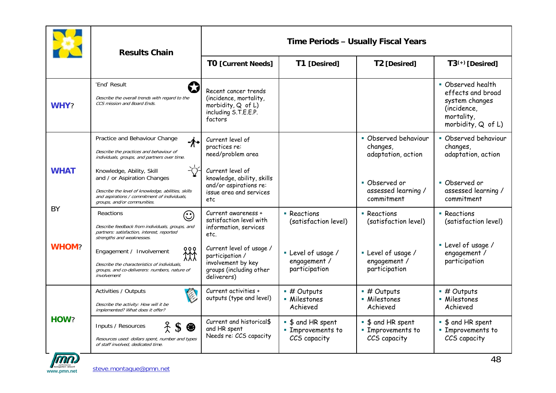|              | <b>Results Chain</b>                                                                                                                                                                          | Time Periods - Usually Fiscal Years                                                                         |                                                             |                                                             |                                                                                                             |  |
|--------------|-----------------------------------------------------------------------------------------------------------------------------------------------------------------------------------------------|-------------------------------------------------------------------------------------------------------------|-------------------------------------------------------------|-------------------------------------------------------------|-------------------------------------------------------------------------------------------------------------|--|
|              |                                                                                                                                                                                               | <b>TO [Current Needs]</b>                                                                                   | T1 [Desired]                                                | T2 [Desired]                                                | $T3^{(+)}$ [Desired]                                                                                        |  |
| WHY?         | 'End' Result<br>w<br>Describe the overall trends with regard to the<br>CCS mission and Board Ends.                                                                                            | Recent cancer trends<br>(incidence, mortality,<br>morbidity, Q of L)<br>including S.T.E.E.P.<br>factors     |                                                             |                                                             | • Observed health<br>effects and broad<br>system changes<br>(incidence,<br>mortality,<br>morbidity, Q of L) |  |
|              | Practice and Behaviour Change<br>-⁄∱÷<br>Describe the practices and behaviour of<br>individuals, groups, and partners over time.                                                              | Current level of<br>practices re:<br>need/problem area                                                      |                                                             | • Observed behaviour<br>changes,<br>adaptation, action      | • Observed behaviour<br>changes,<br>adaptation, action                                                      |  |
| <b>WHAT</b>  | Knowledge, Ability, Skill<br>and / or Aspiration Changes<br>Describe the level of knowledge, abilities, skills<br>and aspirations / commitment of individuals,<br>groups, and/or communities. | Current level of<br>knowledge, ability, skills<br>and/or aspirations re:<br>issue area and services<br>etc  |                                                             | • Observed or<br>assessed learning /<br>commitment          | • Observed or<br>assessed learning /<br>commitment                                                          |  |
| BY           | Reactions<br>$\odot$<br>Describe feedback from individuals, groups, and<br>partners: satisfaction, interest, reported<br>strengths and weaknesses.                                            | Current awareness +<br>satisfaction level with<br>information, services<br>etc.                             | • Reactions<br>(satisfaction level)                         | • Reactions<br>(satisfaction level)                         | • Reactions<br>(satisfaction level)                                                                         |  |
| <b>WHOM?</b> | 888<br>Engagement / Involvement<br>Describe the characteristics of individuals,<br>groups, and co-deliverers: numbers, nature of<br>involvement                                               | Current level of usage /<br>participation /<br>involvement by key<br>groups (including other<br>deliverers) | • Level of usage /<br>engagement /<br>participation         | • Level of usage /<br>engagement /<br>participation         | • Level of usage /<br>engagement /<br>participation                                                         |  |
|              | Activities / Outputs<br>Describe the activity: How will it be<br>implemented? What does it offer?                                                                                             | Current activities +<br>outputs (type and level)                                                            | $#$ Outputs<br>• Milestones<br>Achieved                     | $\blacksquare$ # Outputs<br>• Milestones<br>Achieved        | $\blacksquare$ # Outputs<br>• Milestones<br>Achieved                                                        |  |
| HOW?         | Inputs / Resources<br>❀<br>Resources used: dollars spent, number and types<br>of staff involved, dedicated time.                                                                              | Current and historical\$<br>and HR spent<br>Needs re: CCS capacity                                          | ■ \$ and HR spent<br><b>Emprovements to</b><br>CCS capacity | • \$ and HR spent<br><b>Emprovements to</b><br>CCS capacity | • \$ and HR spent<br><b>Emprovements to</b><br>CCS capacity                                                 |  |

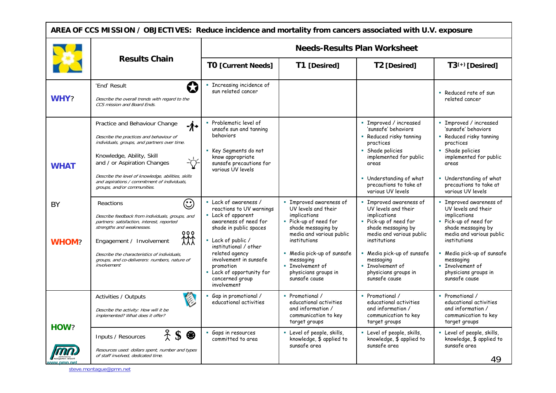| AREA OF CCS MISSION / OBJECTIVES: Reduce incidence and mortality from cancers associated with U.V. exposure |                                                                                                                                                                                                                                                                                                                                   |                                                                                                                                                                                                                                                                                                 |                                                                                                                                                                                                                                                                               |                                                                                                                                                                                                                                                                          |                                                                                                                                                                                                                                                                                                |  |  |
|-------------------------------------------------------------------------------------------------------------|-----------------------------------------------------------------------------------------------------------------------------------------------------------------------------------------------------------------------------------------------------------------------------------------------------------------------------------|-------------------------------------------------------------------------------------------------------------------------------------------------------------------------------------------------------------------------------------------------------------------------------------------------|-------------------------------------------------------------------------------------------------------------------------------------------------------------------------------------------------------------------------------------------------------------------------------|--------------------------------------------------------------------------------------------------------------------------------------------------------------------------------------------------------------------------------------------------------------------------|------------------------------------------------------------------------------------------------------------------------------------------------------------------------------------------------------------------------------------------------------------------------------------------------|--|--|
|                                                                                                             |                                                                                                                                                                                                                                                                                                                                   | <b>Needs-Results Plan Worksheet</b>                                                                                                                                                                                                                                                             |                                                                                                                                                                                                                                                                               |                                                                                                                                                                                                                                                                          |                                                                                                                                                                                                                                                                                                |  |  |
|                                                                                                             | <b>Results Chain</b>                                                                                                                                                                                                                                                                                                              | <b>TO [Current Needs]</b>                                                                                                                                                                                                                                                                       | T1 [Desired]                                                                                                                                                                                                                                                                  | T2 [Desired]                                                                                                                                                                                                                                                             | $T3^{(+)}$ [Desired]                                                                                                                                                                                                                                                                           |  |  |
| WHY?                                                                                                        | Q<br>'End' Result<br>Describe the overall trends with regard to the<br>CCS mission and Board Ends.                                                                                                                                                                                                                                | <b>Exercise Incidence of</b><br>sun related cancer                                                                                                                                                                                                                                              |                                                                                                                                                                                                                                                                               |                                                                                                                                                                                                                                                                          | • Reduced rate of sun<br>related cancer                                                                                                                                                                                                                                                        |  |  |
| <b>WHAT</b>                                                                                                 | Practice and Behaviour Change<br>-⁄∱≁<br>Describe the practices and behaviour of<br>individuals, groups, and partners over time.<br>Knowledge, Ability, Skill<br>and / or Aspiration Changes<br>Describe the level of knowledge, abilities, skills<br>and aspirations / commitment of individuals,<br>groups, and/or communities. | Problematic level of<br>unsafe sun and tanning<br>behaviors<br>Key Segments do not<br>know appropriate<br>sunsafe precautions for<br>various UV levels                                                                                                                                          |                                                                                                                                                                                                                                                                               | · Improved / increased<br>'sunsafe' behaviors<br>• Reduced risky tanning<br>practices<br>• Shade policies<br>implemented for public<br>areas<br>• Understanding of what<br>precautions to take at<br>various UV levels                                                   | • Improved / increased<br>'sunsafe' behaviors<br>• Reduced risky tanning<br>practices<br>• Shade policies<br>implemented for public<br>areas<br>Understanding of what<br>precautions to take at<br>various UV levels                                                                           |  |  |
| BY<br><b>WHOM?</b>                                                                                          | $\odot$<br>Reactions<br>Describe feedback from individuals, groups, and<br>partners: satisfaction, interest, reported<br>strengths and weaknesses.<br>०००<br>炏<br>Engagement / Involvement<br>Describe the characteristics of individuals,<br>groups, and co-deliverers: numbers, nature of<br>involvement                        | • Lack of awareness /<br>reactions to UV warnings<br>Lack of apparent<br>awareness of need for<br>shade in public spaces<br>• Lack of public /<br>institutional / other<br>related agency<br>involvement in sunsafe<br>promotion<br>• Lack of opportunity for<br>concerned group<br>involvement | <b>E</b> Improved awareness of<br>UV levels and their<br>implications<br>· Pick-up of need for<br>shade messaging by<br>media and various public<br>institutions<br>- Media pick-up of sunsafe<br>messaging<br><b>Involvement of</b><br>physicians groups in<br>sunsafe cause | • Improved awareness of<br>UV levels and their<br>implications<br>· Pick-up of need for<br>shade messaging by<br>media and various public<br>institutions<br>- Media pick-up of sunsafe<br>messaging<br><b>E</b> Involvement of<br>physicians groups in<br>sunsafe cause | <b>Example 2 Improved awareness of</b><br>UV levels and their<br>implications<br>· Pick-up of need for<br>shade messaging by<br>media and various public<br>institutions<br>- Media pick-up of sunsafe<br>messaging<br><b>Exercise Involvement of</b><br>physicians groups in<br>sunsafe cause |  |  |
| HOW?                                                                                                        | Activities / Outputs<br>Ç<br>Describe the activity: How will it be<br>implemented? What does it offer?                                                                                                                                                                                                                            | Gap in promotional /<br>educational activities                                                                                                                                                                                                                                                  | • Promotional /<br>educational activities<br>and information /<br>communication to key<br>target groups                                                                                                                                                                       | • Promotional /<br>educational activities<br>and information /<br>communication to key<br>target groups                                                                                                                                                                  | • Promotional /<br>educational activities<br>and information /<br>communication to key<br>target groups                                                                                                                                                                                        |  |  |
|                                                                                                             | 25<br>⊕<br>Inputs / Resources<br>Resources used: dollars spent, number and types<br>of staff involved, dedicated time.                                                                                                                                                                                                            | Gaps in resources<br>committed to area                                                                                                                                                                                                                                                          | • Level of people, skills,<br>knowledge, \$ applied to<br>sunsafe area                                                                                                                                                                                                        | • Level of people, skills,<br>knowledge, \$ applied to<br>sunsafe area                                                                                                                                                                                                   | • Level of people, skills,<br>knowledge, \$ applied to<br>sunsafe area<br>49                                                                                                                                                                                                                   |  |  |

steve.montague@pmn.net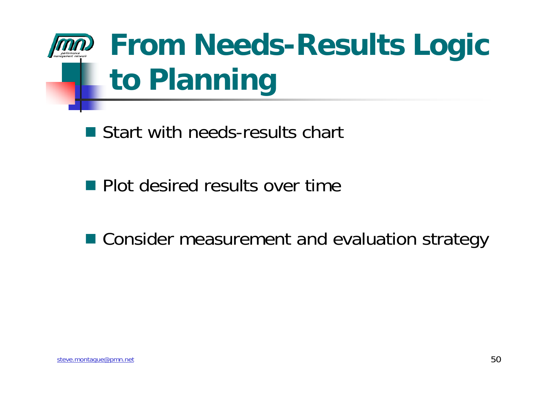

■ Start with needs-results chart

**Plot desired results over time** 

■ Consider measurement and evaluation strategy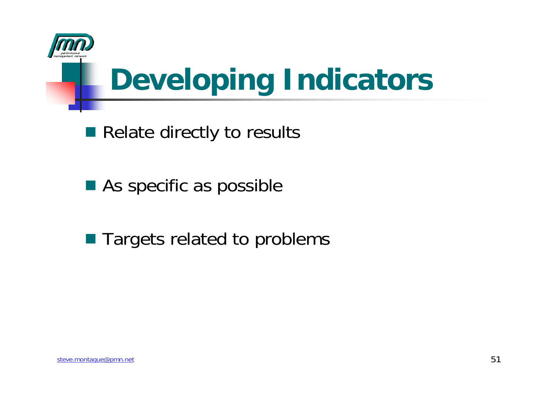

# **Developing Indicators**

- Relate directly to results
- As specific as possible
- Targets related to problems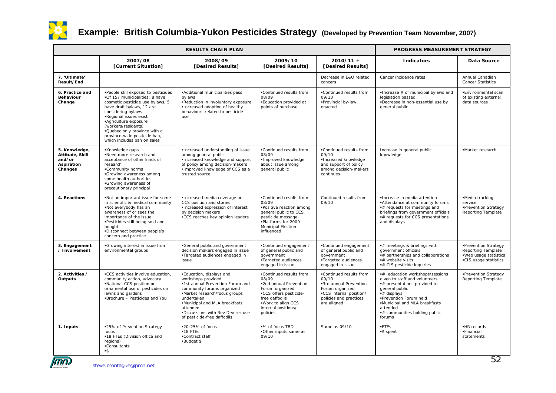

#### **Example: British Columbia-Yukon Pesticides Strategy (Developed by Prevention Team November, 2007)**

|                                                                     |                                                                                                                                                                                                                                                                                                                                              | PROGRESS MEASUREMENT STRATEGY                                                                                                                                                                                                                                                    |                                                                                                                                                                                    |                                                                                                                                                   |                                                                                                                                                                                                                                                  |                                                                                              |
|---------------------------------------------------------------------|----------------------------------------------------------------------------------------------------------------------------------------------------------------------------------------------------------------------------------------------------------------------------------------------------------------------------------------------|----------------------------------------------------------------------------------------------------------------------------------------------------------------------------------------------------------------------------------------------------------------------------------|------------------------------------------------------------------------------------------------------------------------------------------------------------------------------------|---------------------------------------------------------------------------------------------------------------------------------------------------|--------------------------------------------------------------------------------------------------------------------------------------------------------------------------------------------------------------------------------------------------|----------------------------------------------------------------------------------------------|
|                                                                     | 2007/08<br>[Current Situation]                                                                                                                                                                                                                                                                                                               | 2008/09<br>[Desired Results]                                                                                                                                                                                                                                                     | 2009/10<br>[Desired Results]                                                                                                                                                       | $2010/11 +$<br>[Desired Results]                                                                                                                  | <b>Indicators</b>                                                                                                                                                                                                                                | Data Source                                                                                  |
| 7. 'Ultimate'<br>Result/End                                         |                                                                                                                                                                                                                                                                                                                                              |                                                                                                                                                                                                                                                                                  |                                                                                                                                                                                    | Decrease in E&O related<br>cancers                                                                                                                | Cancer incidence rates                                                                                                                                                                                                                           | Annual Canadian<br><b>Cancer Statistics</b>                                                  |
| 6. Practice and<br><b>Behaviour</b><br>Change                       | . People still exposed to pesticides<br>.Of 157 municipalities: 8 have<br>cosmetic pesticide use bylaws, 5<br>have draft bylaws, 12 are<br>considering bylaws<br>-Regional issues exist<br><b>Agriculture exposure</b><br>(workers/residents)<br>.Quebec only province with a<br>province-wide pesticide ban,<br>which includes ban on sales | .Additional municipalities pass<br>bylaws<br>.Reduction in involuntary exposure<br>.Increased adoption of healthy<br>behaviours related to pesticide<br>use                                                                                                                      | .Continued results from<br>08/09<br>.Education provided at<br>points of purchase                                                                                                   | .Continued results from<br>09/10<br>-Provincial by-law<br>enacted                                                                                 | $\blacksquare$ Increase # of municipal bylaws and<br>legislation passed<br>.Decrease in non-essential use by<br>general public                                                                                                                   | .Environmental scan<br>of existing external<br>data sources                                  |
| 5. Knowledge,<br>Attitude, Skill<br>and/or<br>Aspiration<br>Changes | Knowledge gaps<br>Need more research and<br>acceptance of other kinds of<br>research<br>.Community norms<br>Growing awareness among<br>some health authorities<br>•Growing awareness of<br>precautionary principal                                                                                                                           | .Increased understanding of issue<br>among general public<br>.Increased knowledge and support<br>of policy among decision-makers<br>. Improved knowledge of CCS as a<br>trusted source                                                                                           | .Continued results from<br>08/09<br>.Improved knowledge<br>about issue among<br>general public                                                                                     | .Continued results from<br>09/10<br>Increased knowledge<br>and support of policy<br>among decision-makers<br>continues                            | Increase in general public<br>knowledge                                                                                                                                                                                                          | ·Market research                                                                             |
| 4. Reactions                                                        | .Not an important issue for some<br>in scientific & medical community<br>Not everybody has an<br>awareness of or sees the<br>importance of the issue<br>. Pesticides still being sold and<br>bought<br>·Disconnect between people's<br>concern and practice                                                                                  | ·Increased media coverage on<br>CCS position and stories<br>·Increased expression of interest<br>by decision makers<br>■CCS reaches key opinion leaders                                                                                                                          | .Continued results from<br>08/09<br>•Positive reaction among<br>general public to CCS<br>pesticide message<br>-Platforms for 2009<br>Municipal Election<br>influenced              | Continued results from<br>09/10                                                                                                                   | . Increase in media attention<br>. Attendance at community forums<br>$\bullet$ # requests for meetings and<br>briefings from government officials<br>*# requests for CCS presentations<br>and displays                                           | •Media tracking<br>service<br>•Prevention Strategy<br>Reporting Template                     |
| 3. Engagement<br>/ Involvement                                      | Growing interest in issue from<br>environmental groups                                                                                                                                                                                                                                                                                       | •General public and government<br>decision makers engaged in issue<br>•Targeted audiences engaged in<br>issue                                                                                                                                                                    | •Continued engagement<br>of general public and<br>qovernment<br>·Targeted audiences<br>engaged in issue                                                                            | •Continued engagement<br>of general public and<br>government<br>Targeted audiences<br>engaged in issue                                            | *# meetings & briefings with<br>government officials<br># partnerships and collaborations<br>*# website visits<br># CIS pesticide inquiries                                                                                                      | •Prevention Strategy<br>Reporting Template<br>.Web usage statistics<br>.CIS usage statistics |
| 2. Activities /<br>Outputs                                          | .CCS activities involve education,<br>community action, advocacy<br>National CCS position on<br>ornamental use of pesticides on<br>lawns and gardens<br>·Brochure - Pesticides and You                                                                                                                                                       | ·Education, displays and<br>workshops provided<br>.1st annual Prevention Forum and<br>community forums organized<br>•Market research/focus groups<br>undertaken<br>.Municipal and MLA breakfasts<br>attended<br>.Discussions with Rev Dev re: use<br>of pesticide-free daffodils | .Continued results from<br>08/09<br>*2nd annual Prevention<br>Forum organized<br>.CCS offers pesticide-<br>free daffodils<br>.Work to align CCS<br>internal positions/<br>policies | .Continued results from<br>09/10<br>•3rd annual Prevention<br>Forum organized<br>.CCS internal position/<br>policies and practices<br>are aligned | # education workshops/sessions<br>given to staff and volunteers<br>*# presentations provided to<br>general public<br># displays<br>Prevention Forum held<br>.Municipal and MLA breakfasts<br>attended<br>*# communities holding public<br>forums | •Prevention Strategy<br>Reporting Template                                                   |
| 1. Inputs                                                           | ■25% of Prevention Strategy<br>focus<br>.18 FTEs (Division office and<br>regions)<br>-Consultants<br>$-$ \$                                                                                                                                                                                                                                  | ■20-25% of focus<br>$-18$ FTEs<br>•Contract staff<br>Budget \$                                                                                                                                                                                                                   | ■% of focus TBD<br>.Other inputs same as<br>09/10                                                                                                                                  | Same as 09/10                                                                                                                                     | .FTEs<br>S spent                                                                                                                                                                                                                                 | .HR records<br>·Financial<br>statements                                                      |

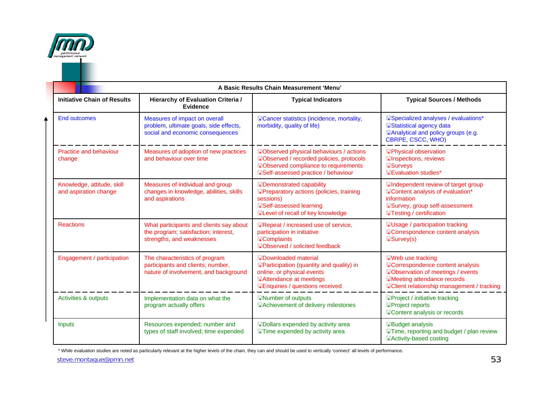

₳

| <b>Initiative Chain of Results</b>                  | Hierarchy of Evaluation Criteria /<br><b>Evidence</b>                                                        | <b>Typical Indicators</b>                                                                                                                                                                | <b>Typical Sources / Methods</b>                                                                                                                                                                                                                                     |  |
|-----------------------------------------------------|--------------------------------------------------------------------------------------------------------------|------------------------------------------------------------------------------------------------------------------------------------------------------------------------------------------|----------------------------------------------------------------------------------------------------------------------------------------------------------------------------------------------------------------------------------------------------------------------|--|
| <b>End outcomes</b>                                 | Measures of impact on overall<br>problem, ultimate goals, side effects,<br>social and economic consequences  | <b>ECancer statistics (incidence, mortality,</b><br>morbidity, quality of life)                                                                                                          | <b>ESpecialized analyses / evaluations*</b><br><b>E</b> Statistical agency data<br><b>EAnalytical and policy groups (e.g.</b><br>CBRPE, CSCC, WHO)<br><b>EPhysical observation</b><br><b>Elnspections, reviews</b><br><b>Handers</b><br><b>E</b> Evaluation studies* |  |
| <b>Practice and behaviour</b><br>change             | Measures of adoption of new practices<br>and behaviour over time                                             | <b>EObserved physical behaviours / actions</b><br>Dobserved / recorded policies, protocols<br><b>EObserved compliance to requirements</b><br><b>ESelf-assessed practice / behaviour</b>  |                                                                                                                                                                                                                                                                      |  |
| Knowledge, attitude, skill<br>and aspiration change | Measures of individual and group<br>changes in knowledge, abilities, skills<br>and aspirations               | <b>EDemonstrated capability</b><br><b>EPreparatory actions (policies, training</b><br>sessions)<br><b>ESelf-assessed learning</b><br>ELevel of recall of key knowledge                   | <b>Elndependent review of target group</b><br><b>EContent analysis of evaluation*</b><br>information<br><b>ESurvey, group self-assessment</b><br><b>Testing / certification</b>                                                                                      |  |
| <b>Reactions</b>                                    | What participants and clients say about<br>the program; satisfaction; interest,<br>strengths, and weaknesses | ERepeat / increased use of service,<br>participation in initiative<br><b>EComplaints</b><br><b>EObserved / solicited feedback</b>                                                        | <b>EUsage / participation tracking</b><br><b>ECorrespondence content analysis</b><br><b>■Survey(s)</b>                                                                                                                                                               |  |
| Engagement / participation                          | The characteristics of program<br>participants and clients; number,<br>nature of involvement, and background | <b>H</b> Downloaded material<br><b>EParticipation (quantity and quality) in</b><br>online, or physical events<br><b>■Attendance at meetings</b><br><b>Enquiries / questions received</b> | Web use tracking<br><b>ECorrespondence content analysis</b><br><b>EObservation of meetings / events</b><br><b>EMeeting attendance records</b><br><b>EClient relationship management / tracking</b>                                                                   |  |
| Activities & outputs                                | Implementation data on what the<br>program actually offers                                                   | <b>ENumber of outputs</b><br>EAchievement of delivery milestones                                                                                                                         | <b>EProject / initiative tracking</b><br><b>EProject reports</b><br><b>EContent analysis or records</b>                                                                                                                                                              |  |
| Inputs                                              | Resources expended; number and<br>types of staff involved; time expended                                     | <b>HDollars expended by activity area</b><br><b>Time expended by activity area</b>                                                                                                       | <b>EBudget analysis</b><br><b>Time, reporting and budget / plan review</b><br><b>EActivity-based costing</b>                                                                                                                                                         |  |

\* While evaluation studies are noted as particularly relevant at the higher levels of the chain, they can and should be used to vertically 'connect' all levels of performance.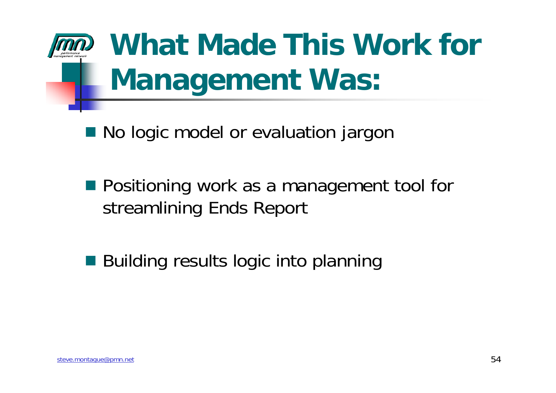

# **What Made This Work for Management Was:**

■ No logic model or evaluation jargor

**Positioning work as a management tool for** streamlining Ends Report

■ Building results logic into planning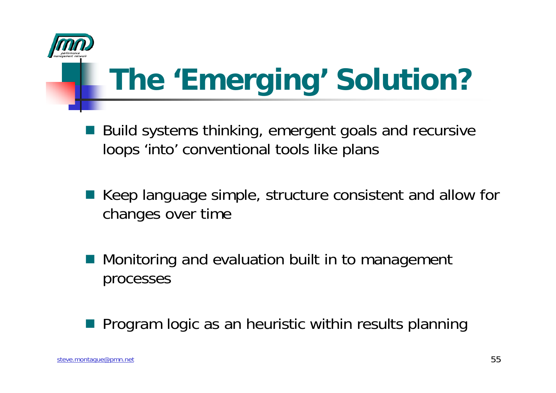

# **The 'Emerging' Solution?**

- in<br>Lin Build systems thinking, emergent goals and recursive loops 'into' conventional tools like plans
- Keep language simple, structure consistent and allow for changes over time
- Monitoring and evaluation built in to management processes

Program logic as an heuristic within results planning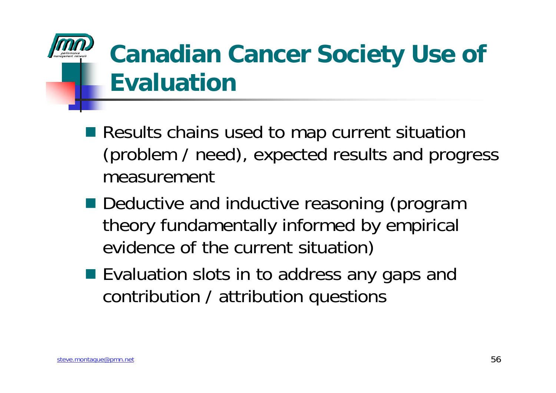### **Canadian Cancer Society Use of Evaluation**

- Results chains used to map current situation (problem / need), expected results and progress measurement
- Deductive and inductive reasoning (program theory fundamentally informed by empirical evidence of the current situation)
- Evaluation slots in to address any gaps and contribution / attribution questions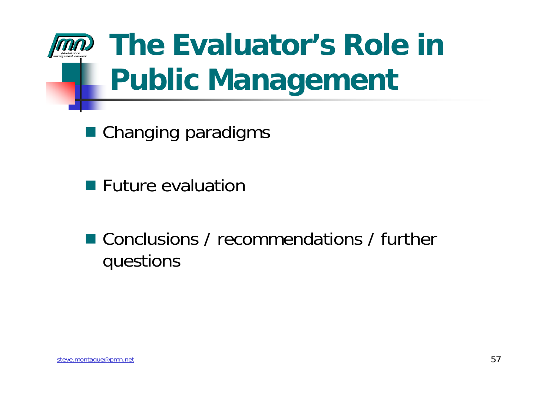

# **The Evaluator's Role in Public Management**

■ Changing paradigms

**Future evaluation** 

■ Conclusions / recommendations / further questions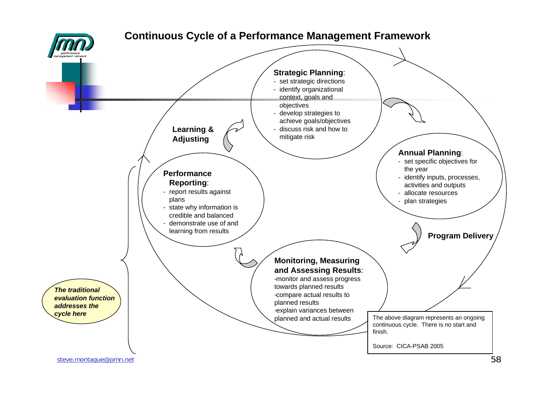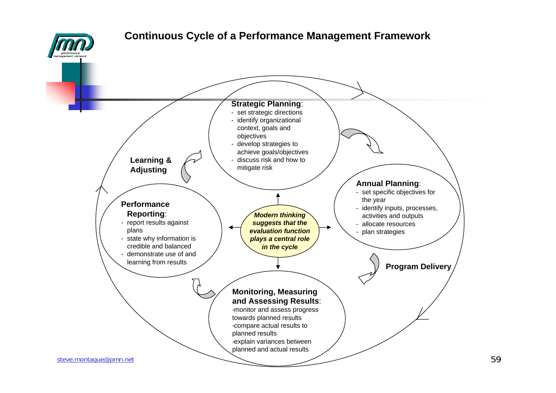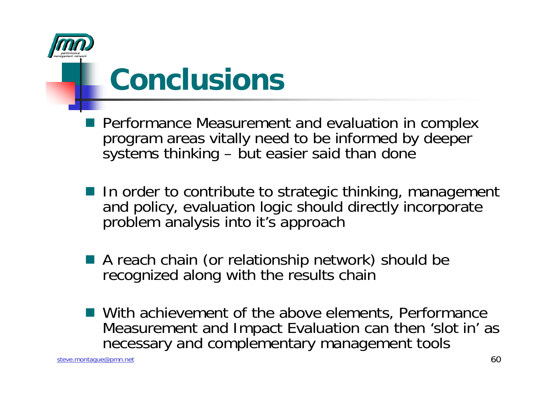

### **Conclusions**

- **Performance Measurement and evaluation in complex** program areas vitally need to be informed by deeper systems thinking – but easier said than done
- In order to contribute to strategic thinking, management and policy, evaluation logic should directly incorporate problem analysis into it's approach
- A reach chain (or relationship network) should be recognized along with the results chain
- With achievement of the above elements, Performance Measurement and Impact Evaluation can then 'slot in' as necessary and complementary management tools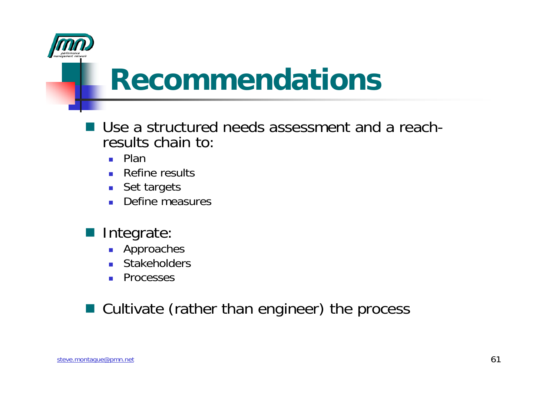

### **Recommendations**

- Use a structured needs assessment and a reachresults chain to:
	- **■** Plan
	- Refine results
	- Set targets
	- Define measures
- **Integrate** 
	- **Approaches**
	- **Stakeholders**
	- $\sim 100$ Processes

#### ■ Cultivate (rather than engineer) the process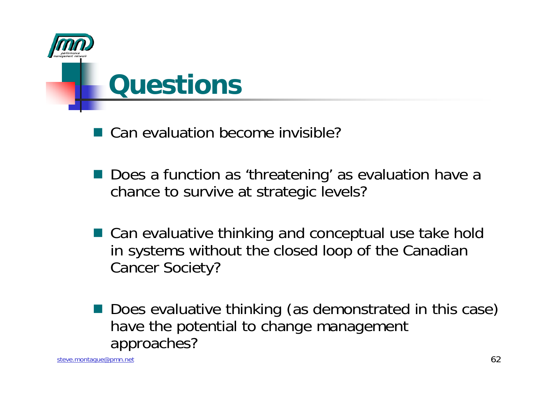

■ Can evaluation become invisible?

- Does a function as 'threatening' as evaluation have a chance to survive at strategic levels?
- Can evaluative thinking and conceptual use take hold in systems without the closed loop of the Canadian Cancer Society?
- Does evaluative thinking (as demonstrated in this case) have the potential to change management approaches?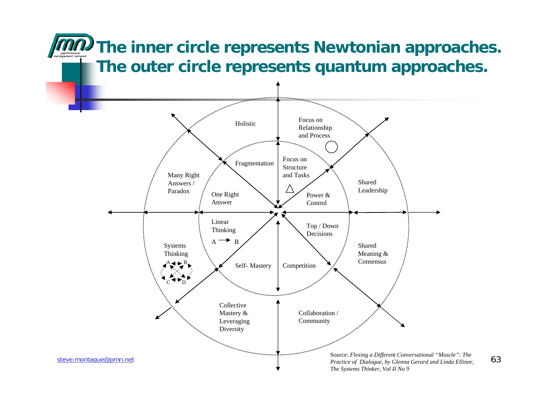